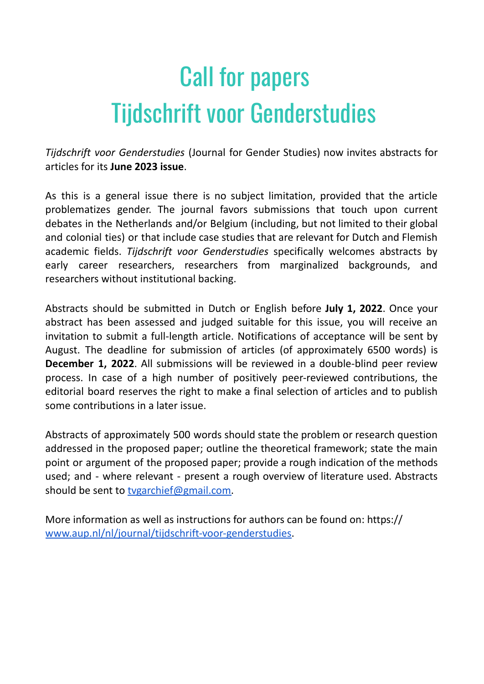## Call for papers Tijdschrift voor Genderstudies

*Tijdschrift voor Genderstudies* (Journal for Gender Studies) now invites abstracts for articles for its **June 2023 issue**.

As this is a general issue there is no subject limitation, provided that the article problematizes gender. The journal favors submissions that touch upon current debates in the Netherlands and/or Belgium (including, but not limited to their global and colonial ties) or that include case studies that are relevant for Dutch and Flemish academic fields. *Tijdschrift voor Genderstudies* specifically welcomes abstracts by early career researchers, researchers from marginalized backgrounds, and researchers without institutional backing.

Abstracts should be submitted in Dutch or English before **July 1, 2022**. Once your abstract has been assessed and judged suitable for this issue, you will receive an invitation to submit a full-length article. Notifications of acceptance will be sent by August. The deadline for submission of articles (of approximately 6500 words) is **December 1, 2022**. All submissions will be reviewed in a double-blind peer review process. In case of a high number of positively peer-reviewed contributions, the editorial board reserves the right to make a final selection of articles and to publish some contributions in a later issue.

Abstracts of approximately 500 words should state the problem or research question addressed in the proposed paper; outline the theoretical framework; state the main point or argument of the proposed paper; provide a rough indication of the methods used; and - where relevant - present a rough overview of literature used. Abstracts should be sent to tygarchief@gmail.com.

More information as well as instructions for authors can be found on: https:// [www.aup.nl/nl/journal/tijdschrift-voor-genderstudies.](http://www.aup.nl/nl/journal/tijdschrift-voor-genderstudies)